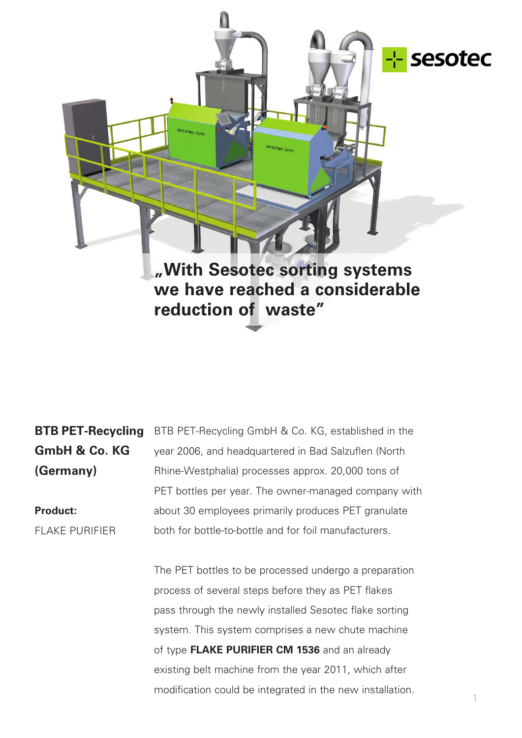

**BTB PET-Recycling GmbH & Co. KG (Germany)**

**Product:** FLAKE PURIFIER BTB PET-Recycling GmbH & Co. KG, established in the year 2006, and headquartered in Bad Salzuflen (North Rhine-Westphalia) processes approx. 20,000 tons of PET bottles per year. The owner-managed company with about 30 employees primarily produces PET granulate both for bottle-to-bottle and for foil manufacturers.

The PET bottles to be processed undergo a preparation process of several steps before they as PET flakes pass through the newly installed Sesotec flake sorting system. This system comprises a new chute machine of type **FLAKE PURIFIER CM 1536** and an already existing belt machine from the year 2011, which after modification could be integrated in the new installation.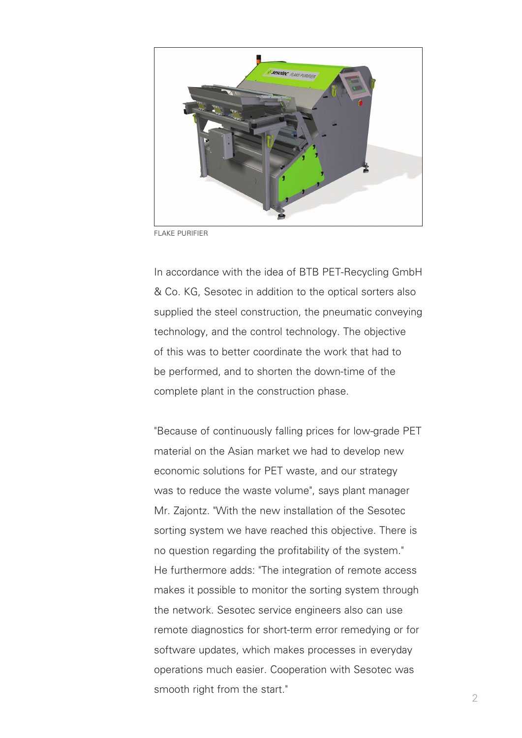

FLAKE PURIFIER

In accordance with the idea of BTB PET-Recycling GmbH & Co. KG, Sesotec in addition to the optical sorters also supplied the steel construction, the pneumatic conveying technology, and the control technology. The objective of this was to better coordinate the work that had to be performed, and to shorten the down-time of the complete plant in the construction phase.

"Because of continuously falling prices for low-grade PET material on the Asian market we had to develop new economic solutions for PET waste, and our strategy was to reduce the waste volume", says plant manager Mr. Zajontz. "With the new installation of the Sesotec sorting system we have reached this objective. There is no question regarding the profitability of the system." He furthermore adds: "The integration of remote access makes it possible to monitor the sorting system through the network. Sesotec service engineers also can use remote diagnostics for short-term error remedying or for software updates, which makes processes in everyday operations much easier. Cooperation with Sesotec was smooth right from the start."